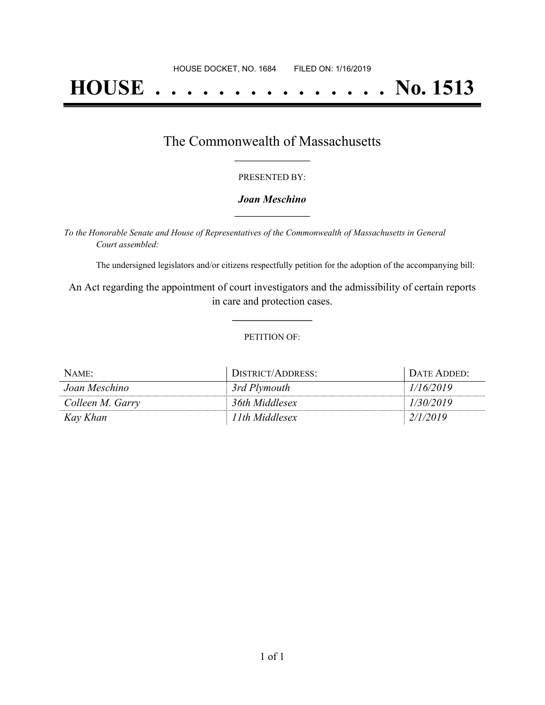# **HOUSE . . . . . . . . . . . . . . . No. 1513**

## The Commonwealth of Massachusetts **\_\_\_\_\_\_\_\_\_\_\_\_\_\_\_\_\_**

#### PRESENTED BY:

#### *Joan Meschino* **\_\_\_\_\_\_\_\_\_\_\_\_\_\_\_\_\_**

*To the Honorable Senate and House of Representatives of the Commonwealth of Massachusetts in General Court assembled:*

The undersigned legislators and/or citizens respectfully petition for the adoption of the accompanying bill:

An Act regarding the appointment of court investigators and the admissibility of certain reports in care and protection cases.

**\_\_\_\_\_\_\_\_\_\_\_\_\_\_\_**

#### PETITION OF:

| NAME:            | DISTRICT/ADDRESS: | DATE ADDED: |
|------------------|-------------------|-------------|
| Joan Meschino    | 3rd Plymouth      | 1/16/2019   |
| Colleen M. Garry | 36th Middlesex    | 1/30/2019   |
| Kay Khan         | 11th Middlesex    | 2/1/2019    |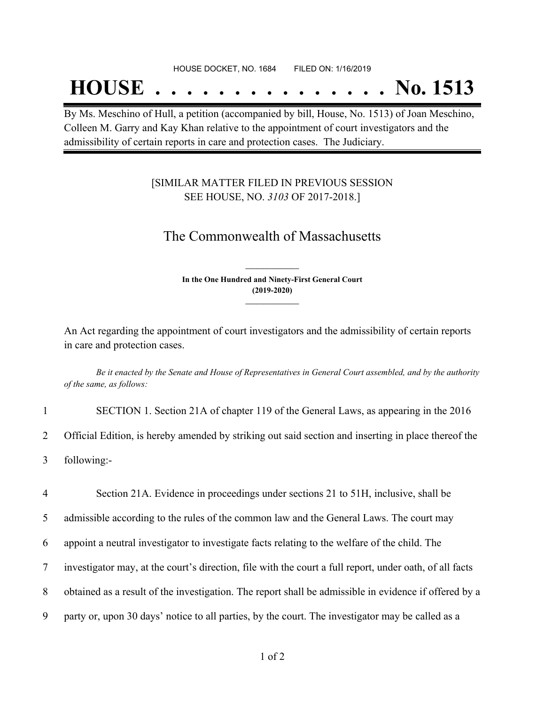#### HOUSE DOCKET, NO. 1684 FILED ON: 1/16/2019

## **HOUSE . . . . . . . . . . . . . . . No. 1513**

By Ms. Meschino of Hull, a petition (accompanied by bill, House, No. 1513) of Joan Meschino, Colleen M. Garry and Kay Khan relative to the appointment of court investigators and the admissibility of certain reports in care and protection cases. The Judiciary.

### [SIMILAR MATTER FILED IN PREVIOUS SESSION SEE HOUSE, NO. *3103* OF 2017-2018.]

## The Commonwealth of Massachusetts

**In the One Hundred and Ninety-First General Court (2019-2020) \_\_\_\_\_\_\_\_\_\_\_\_\_\_\_**

**\_\_\_\_\_\_\_\_\_\_\_\_\_\_\_**

An Act regarding the appointment of court investigators and the admissibility of certain reports in care and protection cases.

Be it enacted by the Senate and House of Representatives in General Court assembled, and by the authority *of the same, as follows:*

| SECTION 1. Section 21A of chapter 119 of the General Laws, as appearing in the 2016                 |
|-----------------------------------------------------------------------------------------------------|
| Official Edition, is hereby amended by striking out said section and inserting in place thereof the |
| following:-                                                                                         |

 Section 21A. Evidence in proceedings under sections 21 to 51H, inclusive, shall be admissible according to the rules of the common law and the General Laws. The court may appoint a neutral investigator to investigate facts relating to the welfare of the child. The investigator may, at the court's direction, file with the court a full report, under oath, of all facts obtained as a result of the investigation. The report shall be admissible in evidence if offered by a party or, upon 30 days' notice to all parties, by the court. The investigator may be called as a